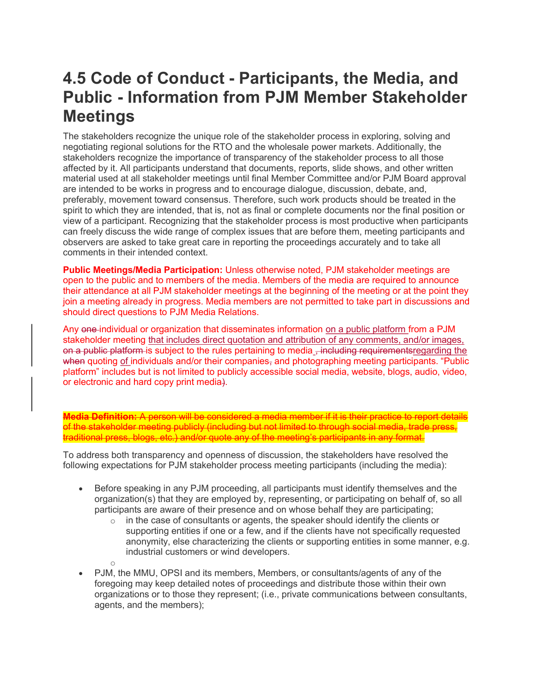## **4.5 Code of Conduct - Participants, the Media, and Public - Information from PJM Member Stakeholder Meetings**

The stakeholders recognize the unique role of the stakeholder process in exploring, solving and negotiating regional solutions for the RTO and the wholesale power markets. Additionally, the stakeholders recognize the importance of transparency of the stakeholder process to all those affected by it. All participants understand that documents, reports, slide shows, and other written material used at all stakeholder meetings until final Member Committee and/or PJM Board approval are intended to be works in progress and to encourage dialogue, discussion, debate, and, preferably, movement toward consensus. Therefore, such work products should be treated in the spirit to which they are intended, that is, not as final or complete documents nor the final position or view of a participant. Recognizing that the stakeholder process is most productive when participants can freely discuss the wide range of complex issues that are before them, meeting participants and observers are asked to take great care in reporting the proceedings accurately and to take all comments in their intended context.

**Public Meetings/Media Participation:** Unless otherwise noted, PJM stakeholder meetings are open to the public and to members of the media. Members of the media are required to announce their attendance at all PJM stakeholder meetings at the beginning of the meeting or at the point they join a meeting already in progress. Media members are not permitted to take part in discussions and should direct questions to PJM Media Relations.

Any one individual or organization that disseminates information on a public platform from a PJM stakeholder meeting that includes direct quotation and attribution of any comments, and/or images, on a public platform is subject to the rules pertaining to media , including requirementsregarding the when quoting of individuals and/or their companies, and photographing meeting participants. "Public platform" includes but is not limited to publicly accessible social media, website, blogs, audio, video, or electronic and hard copy print media).

**Media Definition:** A person will be considered a media member if it is their practice to report details of the stakeholder meeting publicly (including but not limited to through social media, trade press, traditional press, blogs, etc.) and/or quote any of the meeting's participants in any format.

To address both transparency and openness of discussion, the stakeholders have resolved the following expectations for PJM stakeholder process meeting participants (including the media):

o

- Before speaking in any PJM proceeding, all participants must identify themselves and the organization(s) that they are employed by, representing, or participating on behalf of, so all participants are aware of their presence and on whose behalf they are participating;
	- $\circ$  in the case of consultants or agents, the speaker should identify the clients or supporting entities if one or a few, and if the clients have not specifically requested anonymity, else characterizing the clients or supporting entities in some manner, e.g. industrial customers or wind developers.
- PJM, the MMU, OPSI and its members, Members, or consultants/agents of any of the foregoing may keep detailed notes of proceedings and distribute those within their own organizations or to those they represent; (i.e., private communications between consultants, agents, and the members);